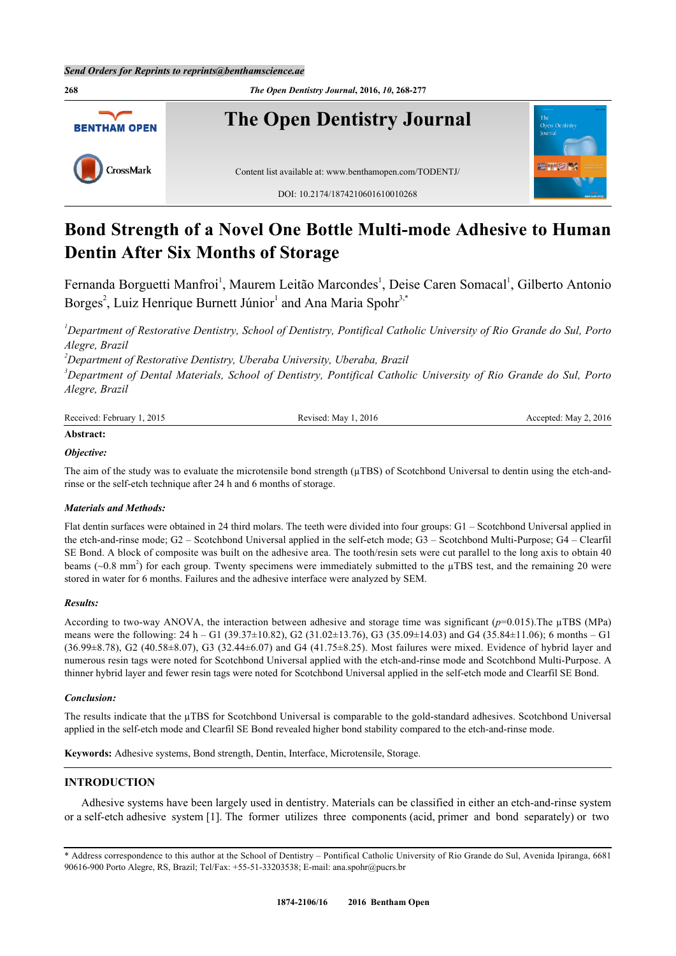

# **Bond Strength of a Novel One Bottle Multi-mode Adhesive to Human Dentin After Six Months of Storage**

Fernanda Borguetti Manfroi<sup>[1](#page-0-0)</sup>, Maurem Leitão Marcondes<sup>1</sup>, Deise Caren Somacal<sup>1</sup>, Gilberto Antonio Borges<sup>[2](#page-0-1)</sup>, Luiz Henrique Burnett Júnior<sup>[1](#page-0-0)</sup> and Ana Maria Spohr<sup>[3,](#page-0-2)[\\*](#page-0-3)</sup>

<span id="page-0-0"></span>*<sup>1</sup>Department of Restorative Dentistry, School of Dentistry, Pontifical Catholic University of Rio Grande do Sul, Porto Alegre, Brazil*

<span id="page-0-1"></span>*<sup>2</sup>Department of Restorative Dentistry, Uberaba University, Uberaba, Brazil*

<span id="page-0-2"></span>*<sup>3</sup>Department of Dental Materials, School of Dentistry, Pontifical Catholic University of Rio Grande do Sul, Porto Alegre, Brazil*

| Received: February<br>2015 | 2016<br>Revised:<br>May | $\sim$ , 2016<br>Mav .<br>Accepted<br>$1.1000$ prom. $1.100$ |
|----------------------------|-------------------------|--------------------------------------------------------------|
|                            |                         |                                                              |

# **Abstract:**

## *Objective:*

The aim of the study was to evaluate the microtensile bond strength  $(\mu TBS)$  of Scotchbond Universal to dentin using the etch-andrinse or the self-etch technique after 24 h and 6 months of storage.

## *Materials and Methods:*

Flat dentin surfaces were obtained in 24 third molars. The teeth were divided into four groups: G1 – Scotchbond Universal applied in the etch-and-rinse mode; G2 – Scotchbond Universal applied in the self-etch mode; G3 – Scotchbond Multi-Purpose; G4 – Clearfil SE Bond. A block of composite was built on the adhesive area. The tooth/resin sets were cut parallel to the long axis to obtain 40 beams  $(\sim 0.8 \text{ mm}^2)$  for each group. Twenty specimens were immediately submitted to the  $\mu$ TBS test, and the remaining 20 were stored in water for 6 months. Failures and the adhesive interface were analyzed by SEM.

## *Results:*

According to two-way ANOVA, the interaction between adhesive and storage time was significant  $(p=0.015)$ . The  $\mu$ TBS (MPa) means were the following: 24 h – G1 (39.37±10.82), G2 (31.02±13.76), G3 (35.09±14.03) and G4 (35.84±11.06); 6 months – G1 (36.99±8.78), G2 (40.58±8.07), G3 (32.44±6.07) and G4 (41.75±8.25). Most failures were mixed. Evidence of hybrid layer and numerous resin tags were noted for Scotchbond Universal applied with the etch-and-rinse mode and Scotchbond Multi-Purpose. A thinner hybrid layer and fewer resin tags were noted for Scotchbond Universal applied in the self-etch mode and Clearfil SE Bond.

## *Conclusion:*

The results indicate that the µTBS for Scotchbond Universal is comparable to the gold-standard adhesives. Scotchbond Universal applied in the self-etch mode and Clearfil SE Bond revealed higher bond stability compared to the etch-and-rinse mode.

**Keywords:** Adhesive systems, Bond strength, Dentin, Interface, Microtensile, Storage.

# **INTRODUCTION**

Adhesive systems have been largely used in dentistry. Materials can be classified in either an etch-and-rinse system or a self-etch adhesive system [[1\]](#page-7-0). The former utilizes three components (acid, primer and bond separately) or two

<span id="page-0-3"></span><sup>\*</sup> Address correspondence to this author at the School of Dentistry – Pontifical Catholic University of Rio Grande do Sul, Avenida Ipiranga, 6681 90616-900 Porto Alegre, RS, Brazil; Tel/Fax: +55-51-33203538; E-mail: [ana.spohr@pucrs.br](mailto:ana.spohr@pucrs.br)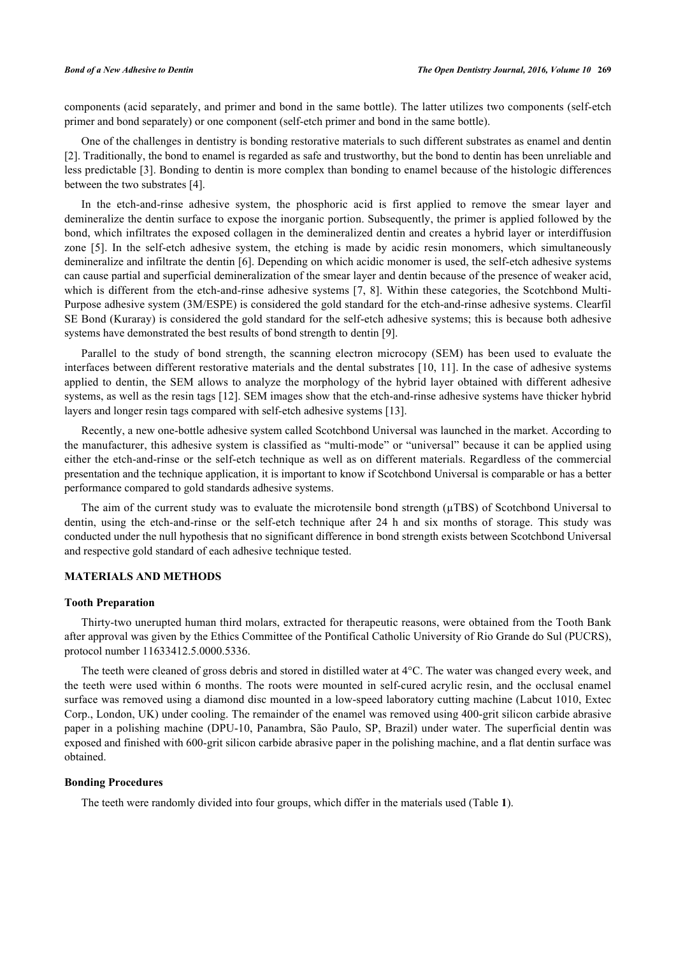components (acid separately, and primer and bond in the same bottle). The latter utilizes two components (self-etch primer and bond separately) or one component (self-etch primer and bond in the same bottle).

One of the challenges in dentistry is bonding restorative materials to such different substrates as enamel and dentin [\[2](#page-7-1)]. Traditionally, the bond to enamel is regarded as safe and trustworthy, but the bond to dentin has been unreliable and less predictable [[3\]](#page-7-2). Bonding to dentin is more complex than bonding to enamel because of the histologic differences between the two substrates [\[4](#page-7-3)].

In the etch-and-rinse adhesive system, the phosphoric acid is first applied to remove the smear layer and demineralize the dentin surface to expose the inorganic portion. Subsequently, the primer is applied followed by the bond, which infiltrates the exposed collagen in the demineralized dentin and creates a hybrid layer or interdiffusion zone[[5\]](#page-8-0). In the self-etch adhesive system, the etching is made by acidic resin monomers, which simultaneously demineralize and infiltrate the dentin [\[6](#page-8-1)]. Depending on which acidic monomer is used, the self-etch adhesive systems can cause partial and superficial demineralization of the smear layer and dentin because of the presence of weaker acid, which is different from the etch-and-rinse adhesive systems [[7,](#page-8-2) [8\]](#page-8-3). Within these categories, the Scotchbond Multi-Purpose adhesive system (3M/ESPE) is considered the gold standard for the etch-and-rinse adhesive systems. Clearfil SE Bond (Kuraray) is considered the gold standard for the self-etch adhesive systems; this is because both adhesive systems have demonstrated the best results of bond strength to dentin [[9\]](#page-8-4).

Parallel to the study of bond strength, the scanning electron microcopy (SEM) has been used to evaluate the interfaces between different restorative materials and the dental substrates [[10](#page-8-5), [11](#page-8-6)]. In the case of adhesive systems applied to dentin, the SEM allows to analyze the morphology of the hybrid layer obtained with different adhesive systems, as well as the resin tags [[12](#page-8-7)]. SEM images show that the etch-and-rinse adhesive systems have thicker hybrid layers and longer resin tags compared with self-etch adhesive systems [[13\]](#page-8-8).

Recently, a new one-bottle adhesive system called Scotchbond Universal was launched in the market. According to the manufacturer, this adhesive system is classified as "multi-mode" or "universal" because it can be applied using either the etch-and-rinse or the self-etch technique as well as on different materials. Regardless of the commercial presentation and the technique application, it is important to know if Scotchbond Universal is comparable or has a better performance compared to gold standards adhesive systems.

The aim of the current study was to evaluate the microtensile bond strength ( $\mu$ TBS) of Scotchbond Universal to dentin, using the etch-and-rinse or the self-etch technique after 24 h and six months of storage. This study was conducted under the null hypothesis that no significant difference in bond strength exists between Scotchbond Universal and respective gold standard of each adhesive technique tested.

# **MATERIALS AND METHODS**

#### **Tooth Preparation**

Thirty-two unerupted human third molars, extracted for therapeutic reasons, were obtained from the Tooth Bank after approval was given by the Ethics Committee of the Pontifical Catholic University of Rio Grande do Sul (PUCRS), protocol number 11633412.5.0000.5336.

The teeth were cleaned of gross debris and stored in distilled water at 4°C. The water was changed every week, and the teeth were used within 6 months. The roots were mounted in self-cured acrylic resin, and the occlusal enamel surface was removed using a diamond disc mounted in a low-speed laboratory cutting machine (Labcut 1010, Extec Corp., London, UK) under cooling. The remainder of the enamel was removed using 400-grit silicon carbide abrasive paper in a polishing machine (DPU-10, Panambra, São Paulo, SP, Brazil) under water. The superficial dentin was exposed and finished with 600-grit silicon carbide abrasive paper in the polishing machine, and a flat dentin surface was obtained.

# **Bonding Procedures**

The teeth were randomly divided into four groups, which differ in the materials used (Table **[1](#page-2-0)**).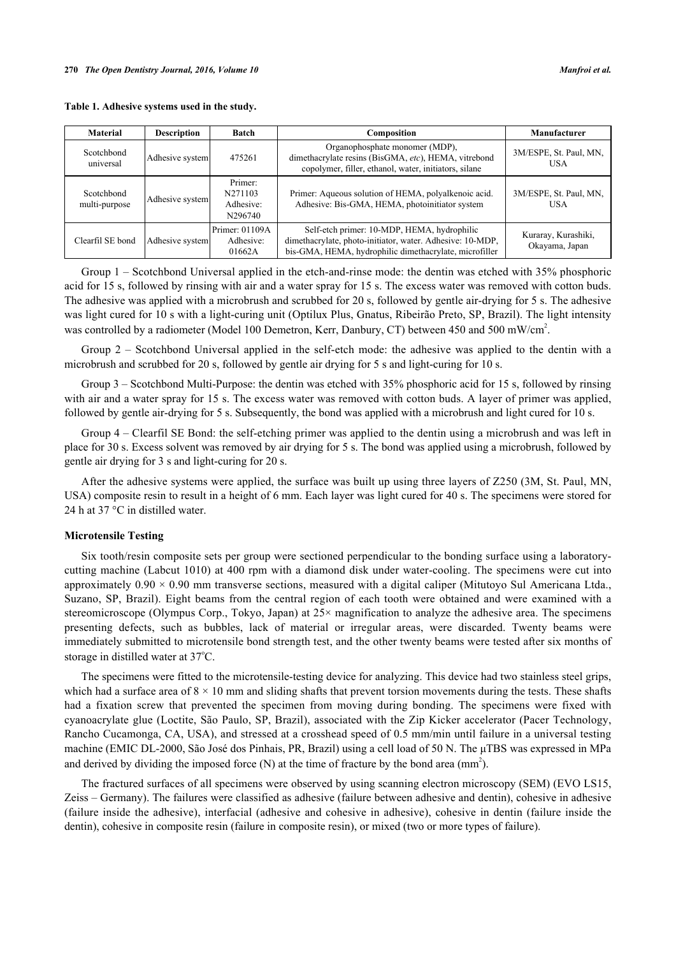<span id="page-2-0"></span>**Table 1. Adhesive systems used in the study.**

| <b>Material</b>             | <b>Description</b> | <b>Batch</b>                               | Composition                                                                                                                                                        | Manufacturer                          |
|-----------------------------|--------------------|--------------------------------------------|--------------------------------------------------------------------------------------------------------------------------------------------------------------------|---------------------------------------|
| Scotchbond<br>universal     | Adhesive system    | 475261                                     | Organophosphate monomer (MDP),<br>dimethacrylate resins (BisGMA, etc), HEMA, vitrebond<br>copolymer, filler, ethanol, water, initiators, silane                    | 3M/ESPE, St. Paul, MN,<br><b>USA</b>  |
| Scotchbond<br>multi-purpose | Adhesive system    | Primer:<br>N271103<br>Adhesive:<br>N296740 | Primer: Aqueous solution of HEMA, polyalkenoic acid.<br>Adhesive: Bis-GMA, HEMA, photoinitiator system                                                             | 3M/ESPE, St. Paul, MN,<br><b>USA</b>  |
| Clearfil SE bond            | Adhesive system    | Primer: 01109A<br>Adhesive:<br>01662A      | Self-etch primer: 10-MDP, HEMA, hydrophilic<br>dimethacrylate, photo-initiator, water. Adhesive: 10-MDP,<br>bis-GMA, HEMA, hydrophilic dimethacrylate, microfiller | Kuraray, Kurashiki,<br>Okayama, Japan |

Group 1 – Scotchbond Universal applied in the etch-and-rinse mode: the dentin was etched with 35% phosphoric acid for 15 s, followed by rinsing with air and a water spray for 15 s. The excess water was removed with cotton buds. The adhesive was applied with a microbrush and scrubbed for 20 s, followed by gentle air-drying for 5 s. The adhesive was light cured for 10 s with a light-curing unit (Optilux Plus, Gnatus, Ribeirão Preto, SP, Brazil). The light intensity was controlled by a radiometer (Model 100 Demetron, Kerr, Danbury, CT) between 450 and 500 mW/cm<sup>2</sup>.

Group 2 – Scotchbond Universal applied in the self-etch mode: the adhesive was applied to the dentin with a microbrush and scrubbed for 20 s, followed by gentle air drying for 5 s and light-curing for 10 s.

Group 3 – Scotchbond Multi-Purpose: the dentin was etched with 35% phosphoric acid for 15 s, followed by rinsing with air and a water spray for 15 s. The excess water was removed with cotton buds. A layer of primer was applied, followed by gentle air-drying for 5 s. Subsequently, the bond was applied with a microbrush and light cured for 10 s.

Group 4 – Clearfil SE Bond: the self-etching primer was applied to the dentin using a microbrush and was left in place for 30 s. Excess solvent was removed by air drying for 5 s. The bond was applied using a microbrush, followed by gentle air drying for 3 s and light-curing for 20 s.

After the adhesive systems were applied, the surface was built up using three layers of Z250 (3M, St. Paul, MN, USA) composite resin to result in a height of 6 mm. Each layer was light cured for 40 s. The specimens were stored for 24 h at 37 °C in distilled water.

#### **Microtensile Testing**

Six tooth/resin composite sets per group were sectioned perpendicular to the bonding surface using a laboratorycutting machine (Labcut 1010) at 400 rpm with a diamond disk under water-cooling. The specimens were cut into approximately  $0.90 \times 0.90$  mm transverse sections, measured with a digital caliper (Mitutoyo Sul Americana Ltda., Suzano, SP, Brazil). Eight beams from the central region of each tooth were obtained and were examined with a stereomicroscope (Olympus Corp., Tokyo, Japan) at 25× magnification to analyze the adhesive area. The specimens presenting defects, such as bubbles, lack of material or irregular areas, were discarded. Twenty beams were immediately submitted to microtensile bond strength test, and the other twenty beams were tested after six months of storage in distilled water at 37°C.

The specimens were fitted to the microtensile-testing device for analyzing. This device had two stainless steel grips, which had a surface area of  $8 \times 10$  mm and sliding shafts that prevent torsion movements during the tests. These shafts had a fixation screw that prevented the specimen from moving during bonding. The specimens were fixed with cyanoacrylate glue (Loctite, São Paulo, SP, Brazil), associated with the Zip Kicker accelerator (Pacer Technology, Rancho Cucamonga, CA, USA), and stressed at a crosshead speed of 0.5 mm/min until failure in a universal testing machine (EMIC DL-2000, São José dos Pinhais, PR, Brazil) using a cell load of 50 N. The μTBS was expressed in MPa and derived by dividing the imposed force  $(N)$  at the time of fracture by the bond area  $(mm<sup>2</sup>)$ .

The fractured surfaces of all specimens were observed by using scanning electron microscopy (SEM) (EVO LS15, Zeiss – Germany). The failures were classified as adhesive (failure between adhesive and dentin), cohesive in adhesive (failure inside the adhesive), interfacial (adhesive and cohesive in adhesive), cohesive in dentin (failure inside the dentin), cohesive in composite resin (failure in composite resin), or mixed (two or more types of failure).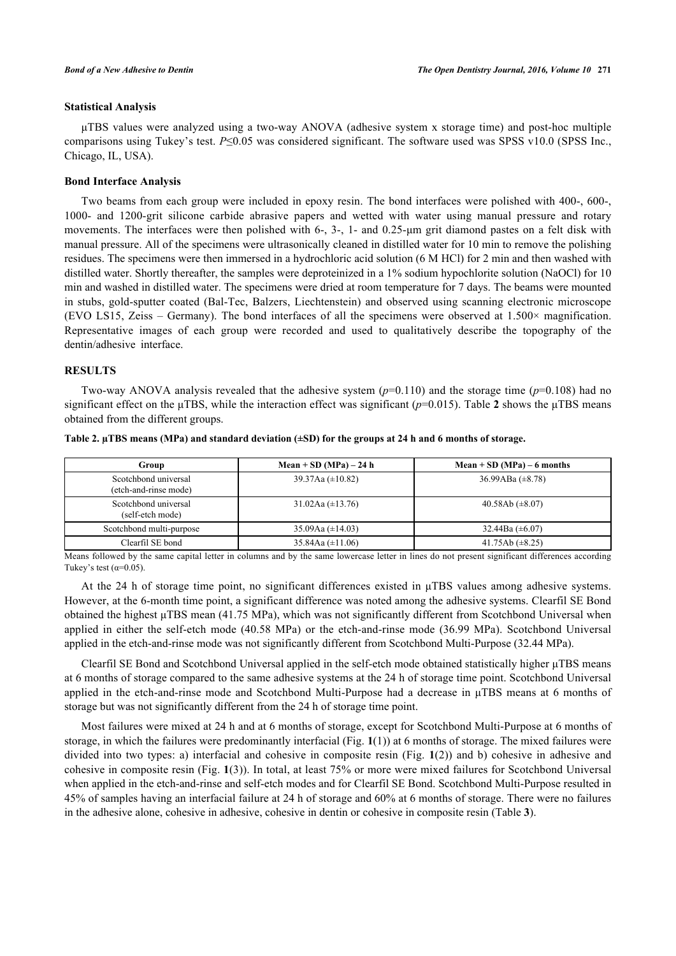## **Statistical Analysis**

μTBS values were analyzed using a two-way ANOVA (adhesive system x storage time) and post-hoc multiple comparisons using Tukey's test. *P*≤0.05 was considered significant. The software used was SPSS v10.0 (SPSS Inc., Chicago, IL, USA).

#### **Bond Interface Analysis**

Two beams from each group were included in epoxy resin. The bond interfaces were polished with 400-, 600-, 1000- and 1200-grit silicone carbide abrasive papers and wetted with water using manual pressure and rotary movements. The interfaces were then polished with 6-, 3-, 1- and 0.25-µm grit diamond pastes on a felt disk with manual pressure. All of the specimens were ultrasonically cleaned in distilled water for 10 min to remove the polishing residues. The specimens were then immersed in a hydrochloric acid solution (6 M HCl) for 2 min and then washed with distilled water. Shortly thereafter, the samples were deproteinized in a 1% sodium hypochlorite solution (NaOCl) for 10 min and washed in distilled water. The specimens were dried at room temperature for 7 days. The beams were mounted in stubs, gold-sputter coated (Bal-Tec, Balzers, Liechtenstein) and observed using scanning electronic microscope (EVO LS15, Zeiss – Germany). The bond interfaces of all the specimens were observed at 1.500× magnification. Representative images of each group were recorded and used to qualitatively describe the topography of the dentin/adhesive interface.

## **RESULTS**

Two-way ANOVA analysis revealed that the adhesive system  $(p=0.110)$  and the storage time  $(p=0.108)$  had no significant effect on the μTBS, while the interaction effect was significant (*p*=0.015). Table **[2](#page-3-0)** shows the μTBS means obtained from the different groups.

| Group                                         | Mean + SD (MPa) $-24$ h | Mean + SD (MPa) – 6 months |
|-----------------------------------------------|-------------------------|----------------------------|
| Scotchbond universal<br>(etch-and-rinse mode) | 39.37Aa $(\pm 10.82)$   | 36.99ABa $(\pm 8.78)$      |
| Scotchbond universal<br>(self-etch mode)      | 31.02Aa $(\pm 13.76)$   | 40.58Ab $(\pm 8.07)$       |
| Scotchbond multi-purpose                      | 35.09Aa $(\pm 14.03)$   | 32.44Ba $(\pm 6.07)$       |
| Clearfil SE bond                              | 35.84Aa $(\pm 11.06)$   | 41.75Ab $(\pm 8.25)$       |

<span id="page-3-0"></span>**Table 2. µTBS means (MPa) and standard deviation (±SD) for the groups at 24 h and 6 months of storage.**

Means followed by the same capital letter in columns and by the same lowercase letter in lines do not present significant differences according Tukey's test  $(\alpha=0.05)$ .

At the 24 h of storage time point, no significant differences existed in μTBS values among adhesive systems. However, at the 6-month time point, a significant difference was noted among the adhesive systems. Clearfil SE Bond obtained the highest μTBS mean (41.75 MPa), which was not significantly different from Scotchbond Universal when applied in either the self-etch mode (40.58 MPa) or the etch-and-rinse mode (36.99 MPa). Scotchbond Universal applied in the etch-and-rinse mode was not significantly different from Scotchbond Multi-Purpose (32.44 MPa).

Clearfil SE Bond and Scotchbond Universal applied in the self-etch mode obtained statistically higher μTBS means at 6 months of storage compared to the same adhesive systems at the 24 h of storage time point. Scotchbond Universal applied in the etch-and-rinse mode and Scotchbond Multi-Purpose had a decrease in μTBS means at 6 months of storage but was not significantly different from the 24 h of storage time point.

Most failures were mixed at 24 h and at 6 months of storage, except for Scotchbond Multi-Purpose at 6 months of storage, in which the failures were predominantly interfacial (Fig. **[1](#page-4-0)**(1)) at 6 months of storage. The mixed failures were divided into two types: a) interfacial and cohesive in composite resin (Fig. **[1](#page-4-0)**(2)) and b) cohesive in adhesive and cohesive in composite resin (Fig. **[1](#page-4-0)**(3)). In total, at least 75% or more were mixed failures for Scotchbond Universal when applied in the etch-and-rinse and self-etch modes and for Clearfil SE Bond. Scotchbond Multi-Purpose resulted in 45% of samples having an interfacial failure at 24 h of storage and 60% at 6 months of storage. There were no failures in the adhesive alone, cohesive in adhesive, cohesive in dentin or cohesive in composite resin (Table **[3](#page-4-1)**).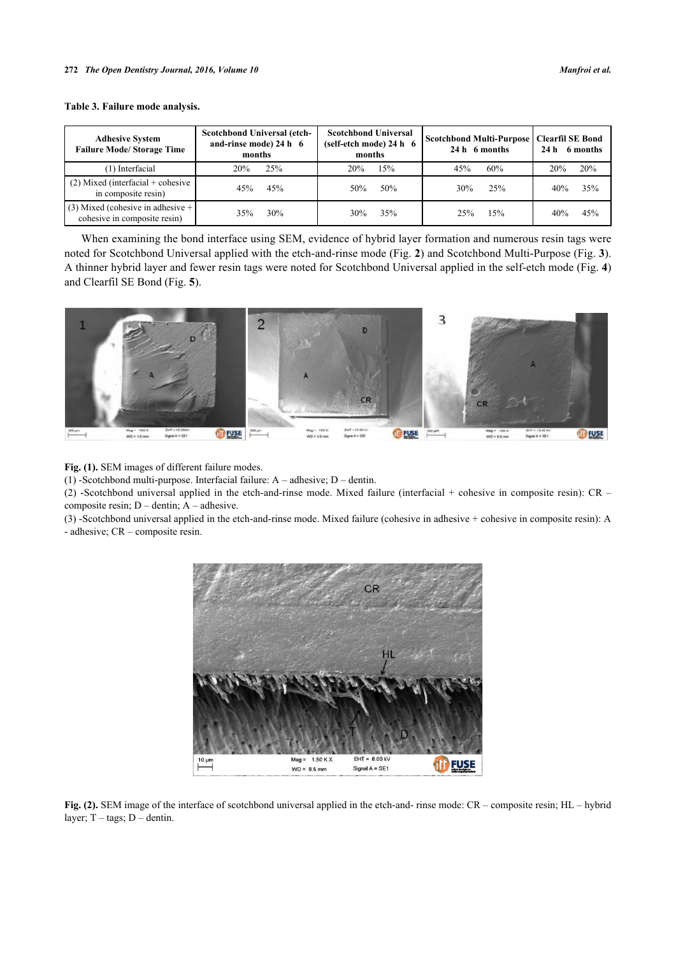<span id="page-4-1"></span>

| <b>Adhesive System</b><br><b>Failure Mode/Storage Time</b> | Scotchbond Universal (etch-<br>and-rinse mode) 24 h 6<br>months | <b>Scotchbond Universal</b><br>$(self-etch mode) 24 h 6$<br>months | Scotchbond Multi-Purpose   Clearfil SE Bond<br>24 h 6 months | 24 h 6 months |
|------------------------------------------------------------|-----------------------------------------------------------------|--------------------------------------------------------------------|--------------------------------------------------------------|---------------|
| (1) Interfacial                                            | 25%                                                             | 15%                                                                | 60%                                                          | 20%           |
|                                                            | 20%                                                             | 20%                                                                | 45%                                                          | 20%           |
| $(2)$ Mixed (interfacial + cohesive                        | 45%                                                             | 50%                                                                | 25%                                                          | 35%           |
| in composite resin)                                        | 45%                                                             | 50%                                                                | 30%                                                          | 40%           |
| $(3)$ Mixed (cohesive in adhesive +                        | 30%                                                             | 35%                                                                | 15%                                                          | 45%           |
| cohesive in composite resin)                               | 35%                                                             | 30%                                                                | 25%                                                          | 40%           |

When examining the bond interface using SEM, evidence of hybrid layer formation and numerous resin tags were noted for Scotchbond Universal applied with the etch-and-rinse mode (Fig. **[2](#page-4-2)**) and Scotchbond Multi-Purpose (Fig. **[3](#page-4-3)**). A thinner hybrid layer and fewer resin tags were noted for Scotchbond Universal applied in the self-etch mode (Fig. **[4](#page-5-0)**) and Clearfil SE Bond (Fig. **[5](#page-5-1)**).

<span id="page-4-0"></span>

**Fig. (1).** SEM images of different failure modes.

(1) -Scotchbond multi-purpose. Interfacial failure: A – adhesive; D – dentin.

(2) -Scotchbond universal applied in the etch-and-rinse mode. Mixed failure (interfacial + cohesive in composite resin): CR – composite resin; D – dentin; A – adhesive.

<span id="page-4-2"></span>(3) -Scotchbond universal applied in the etch-and-rinse mode. Mixed failure (cohesive in adhesive + cohesive in composite resin): A - adhesive; CR – composite resin.



<span id="page-4-3"></span>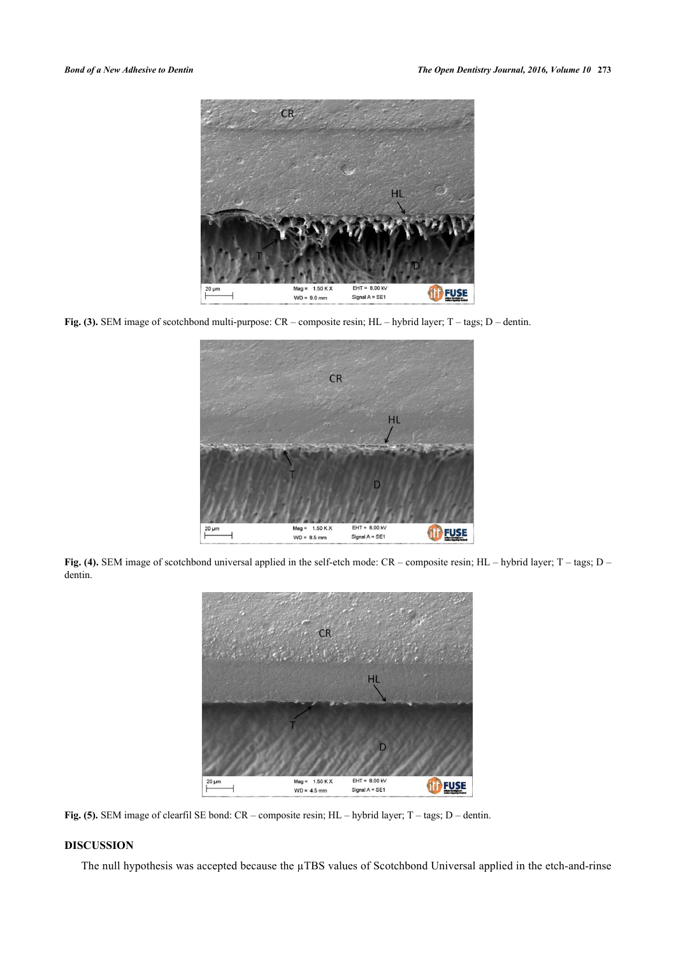

**Fig. (3).** SEM image of scotchbond multi-purpose: CR – composite resin; HL – hybrid layer; T – tags; D – dentin.

<span id="page-5-0"></span>

**Fig. (4).** SEM image of scotchbond universal applied in the self-etch mode: CR – composite resin; HL – hybrid layer; T – tags; D – dentin.

<span id="page-5-1"></span>

**Fig. (5).** SEM image of clearfil SE bond: CR – composite resin; HL – hybrid layer; T – tags; D – dentin.

# **DISCUSSION**

The null hypothesis was accepted because the  $\mu$ TBS values of Scotchbond Universal applied in the etch-and-rinse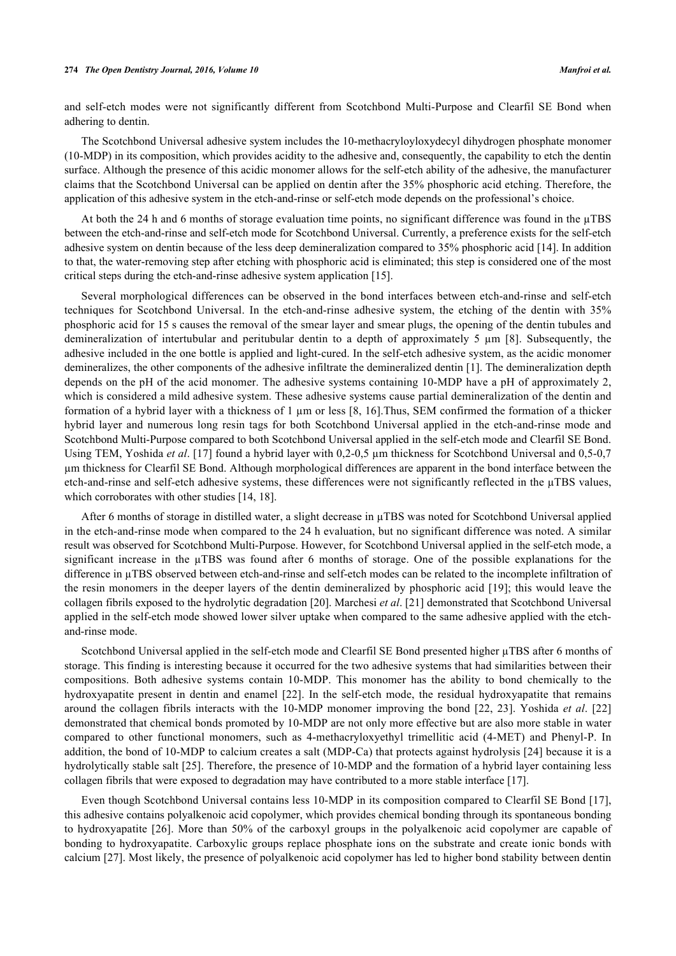#### **274** *The Open Dentistry Journal, 2016, Volume 10 Manfroi et al.*

and self-etch modes were not significantly different from Scotchbond Multi-Purpose and Clearfil SE Bond when adhering to dentin.

The Scotchbond Universal adhesive system includes the 10-methacryloyloxydecyl dihydrogen phosphate monomer (10-MDP) in its composition, which provides acidity to the adhesive and, consequently, the capability to etch the dentin surface. Although the presence of this acidic monomer allows for the self-etch ability of the adhesive, the manufacturer claims that the Scotchbond Universal can be applied on dentin after the 35% phosphoric acid etching. Therefore, the application of this adhesive system in the etch-and-rinse or self-etch mode depends on the professional's choice.

At both the 24 h and 6 months of storage evaluation time points, no significant difference was found in the  $\mu$ TBS between the etch-and-rinse and self-etch mode for Scotchbond Universal. Currently, a preference exists for the self-etch adhesive system on dentin because of the less deep demineralization compared to 35% phosphoric acid [\[14](#page-8-9)]. In addition to that, the water-removing step after etching with phosphoric acid is eliminated; this step is considered one of the most critical steps during the etch-and-rinse adhesive system application [[15\]](#page-8-10).

Several morphological differences can be observed in the bond interfaces between etch-and-rinse and self-etch techniques for Scotchbond Universal. In the etch-and-rinse adhesive system, the etching of the dentin with 35% phosphoric acid for 15 s causes the removal of the smear layer and smear plugs, the opening of the dentin tubules and demineralization of intertubular and peritubular dentin to a depth of approximately 5 µm[[8\]](#page-8-3). Subsequently, the adhesive included in the one bottle is applied and light-cured. In the self-etch adhesive system, as the acidic monomer demineralizes, the other components of the adhesive infiltrate the demineralized dentin [[1](#page-7-0)]. The demineralization depth depends on the pH of the acid monomer. The adhesive systems containing 10-MDP have a pH of approximately 2, which is considered a mild adhesive system. These adhesive systems cause partial demineralization of the dentin and formation of a hybrid layer with a thickness of  $1 \mu m$  or less [[8](#page-8-3), [16\]](#page-8-11). Thus, SEM confirmed the formation of a thicker hybrid layer and numerous long resin tags for both Scotchbond Universal applied in the etch-and-rinse mode and Scotchbond Multi-Purpose compared to both Scotchbond Universal applied in the self-etch mode and Clearfil SE Bond. Using TEM, Yoshida *et al.* [[17\]](#page-8-12) found a hybrid layer with 0,2-0,5 µm thickness for Scotchbond Universal and 0,5-0,7 µm thickness for Clearfil SE Bond. Although morphological differences are apparent in the bond interface between the etch-and-rinse and self-etch adhesive systems, these differences were not significantly reflected in the µTBS values, which corroborates with other studies [\[14](#page-8-9), [18](#page-8-13)].

After 6 months of storage in distilled water, a slight decrease in uTBS was noted for Scotchbond Universal applied in the etch-and-rinse mode when compared to the 24 h evaluation, but no significant difference was noted. A similar result was observed for Scotchbond Multi-Purpose. However, for Scotchbond Universal applied in the self-etch mode, a significant increase in the µTBS was found after 6 months of storage. One of the possible explanations for the difference in µTBS observed between etch-and-rinse and self-etch modes can be related to the incomplete infiltration of the resin monomers in the deeper layers of the dentin demineralized by phosphoric acid [[19](#page-8-14)]; this would leave the collagen fibrils exposed to the hydrolytic degradation [\[20](#page-8-15)]. Marchesi *et al*. [\[21](#page-8-16)] demonstrated that Scotchbond Universal applied in the self-etch mode showed lower silver uptake when compared to the same adhesive applied with the etchand-rinse mode.

Scotchbond Universal applied in the self-etch mode and Clearfil SE Bond presented higher µTBS after 6 months of storage. This finding is interesting because it occurred for the two adhesive systems that had similarities between their compositions. Both adhesive systems contain 10-MDP. This monomer has the ability to bond chemically to the hydroxyapatite present in dentin and enamel[[22](#page-8-17)]. In the self-etch mode, the residual hydroxyapatite that remains around the collagen fibrils interacts with the 10-MDP monomer improving the bond [[22,](#page-8-17) [23](#page-8-18)]. Yoshida *et al*. [[22](#page-8-17)] demonstrated that chemical bonds promoted by 10-MDP are not only more effective but are also more stable in water compared to other functional monomers, such as 4-methacryloxyethyl trimellitic acid (4-MET) and Phenyl-P. In addition, the bond of 10-MDP to calcium creates a salt (MDP-Ca) that protects against hydrolysis [[24\]](#page-8-19) because it is a hydrolytically stable salt [[25\]](#page-9-0). Therefore, the presence of 10-MDP and the formation of a hybrid layer containing less collagen fibrils that were exposed to degradation may have contributed to a more stable interface [\[17](#page-8-12)].

Even though Scotchbond Universal contains less 10-MDP in its composition compared to Clearfil SE Bond [\[17\]](#page-8-12), this adhesive contains polyalkenoic acid copolymer, which provides chemical bonding through its spontaneous bonding to hydroxyapatite [[26](#page-9-1)]. More than 50% of the carboxyl groups in the polyalkenoic acid copolymer are capable of bonding to hydroxyapatite. Carboxylic groups replace phosphate ions on the substrate and create ionic bonds with calcium [[27\]](#page-9-2). Most likely, the presence of polyalkenoic acid copolymer has led to higher bond stability between dentin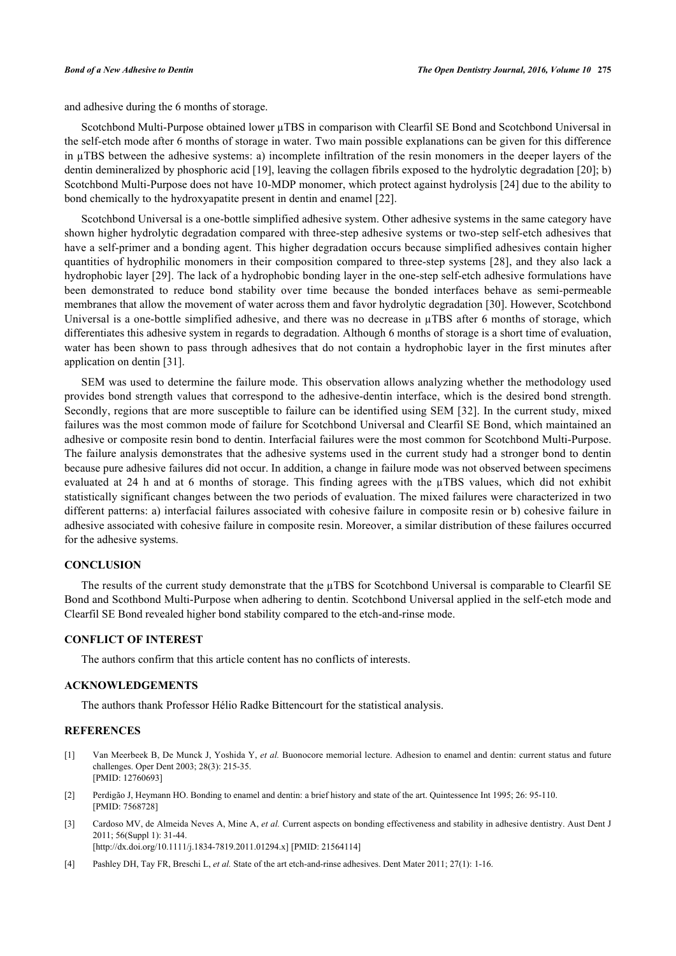and adhesive during the 6 months of storage.

Scotchbond Multi-Purpose obtained lower µTBS in comparison with Clearfil SE Bond and Scotchbond Universal in the self-etch mode after 6 months of storage in water. Two main possible explanations can be given for this difference in µTBS between the adhesive systems: a) incomplete infiltration of the resin monomers in the deeper layers of the dentin demineralized by phosphoric acid [[19\]](#page-8-14), leaving the collagen fibrils exposed to the hydrolytic degradation [[20\]](#page-8-15); b) Scotchbond Multi-Purpose does not have 10-MDP monomer, which protect against hydrolysis [[24\]](#page-8-19) due to the ability to bond chemically to the hydroxyapatite present in dentin and enamel [[22\]](#page-8-17).

Scotchbond Universal is a one-bottle simplified adhesive system. Other adhesive systems in the same category have shown higher hydrolytic degradation compared with three-step adhesive systems or two-step self-etch adhesives that have a self-primer and a bonding agent. This higher degradation occurs because simplified adhesives contain higher quantities of hydrophilic monomers in their composition compared to three-step systems [[28](#page-9-3)], and they also lack a hydrophobic layer [\[29](#page-9-4)]. The lack of a hydrophobic bonding layer in the one-step self-etch adhesive formulations have been demonstrated to reduce bond stability over time because the bonded interfaces behave as semi-permeable membranes that allow the movement of water across them and favor hydrolytic degradation [\[30](#page-9-5)]. However, Scotchbond Universal is a one-bottle simplified adhesive, and there was no decrease in  $\mu$ TBS after 6 months of storage, which differentiates this adhesive system in regards to degradation. Although 6 months of storage is a short time of evaluation, water has been shown to pass through adhesives that do not contain a hydrophobic layer in the first minutes after application on dentin [[31\]](#page-9-6).

SEM was used to determine the failure mode. This observation allows analyzing whether the methodology used provides bond strength values that correspond to the adhesive-dentin interface, which is the desired bond strength. Secondly, regions that are more susceptible to failure can be identified using SEM [[32\]](#page-9-7). In the current study, mixed failures was the most common mode of failure for Scotchbond Universal and Clearfil SE Bond, which maintained an adhesive or composite resin bond to dentin. Interfacial failures were the most common for Scotchbond Multi-Purpose. The failure analysis demonstrates that the adhesive systems used in the current study had a stronger bond to dentin because pure adhesive failures did not occur. In addition, a change in failure mode was not observed between specimens evaluated at 24 h and at 6 months of storage. This finding agrees with the  $\mu$ TBS values, which did not exhibit statistically significant changes between the two periods of evaluation. The mixed failures were characterized in two different patterns: a) interfacial failures associated with cohesive failure in composite resin or b) cohesive failure in adhesive associated with cohesive failure in composite resin. Moreover, a similar distribution of these failures occurred for the adhesive systems.

# **CONCLUSION**

The results of the current study demonstrate that the  $\mu$ TBS for Scotchbond Universal is comparable to Clearfil SE Bond and Scothbond Multi-Purpose when adhering to dentin. Scotchbond Universal applied in the self-etch mode and Clearfil SE Bond revealed higher bond stability compared to the etch-and-rinse mode.

### **CONFLICT OF INTEREST**

The authors confirm that this article content has no conflicts of interests.

# **ACKNOWLEDGEMENTS**

The authors thank Professor Hélio Radke Bittencourt for the statistical analysis.

#### **REFERENCES**

- <span id="page-7-0"></span>[1] Van Meerbeek B, De Munck J, Yoshida Y, *et al.* Buonocore memorial lecture. Adhesion to enamel and dentin: current status and future challenges. Oper Dent 2003; 28(3): 215-35. [PMID: [12760693\]](http://www.ncbi.nlm.nih.gov/pubmed/12760693)
- <span id="page-7-1"></span>[2] Perdigão J, Heymann HO. Bonding to enamel and dentin: a brief history and state of the art. Quintessence Int 1995; 26: 95-110. [PMID: [7568728\]](http://www.ncbi.nlm.nih.gov/pubmed/7568728)
- <span id="page-7-2"></span>[3] Cardoso MV, de Almeida Neves A, Mine A, *et al.* Current aspects on bonding effectiveness and stability in adhesive dentistry. Aust Dent J 2011; 56(Suppl 1): 31-44. [\[http://dx.doi.org/10.1111/j.1834-7819.2011.01294.x\]](http://dx.doi.org/10.1111/j.1834-7819.2011.01294.x) [PMID: [21564114](http://www.ncbi.nlm.nih.gov/pubmed/21564114)]
- <span id="page-7-3"></span>[4] Pashley DH, Tay FR, Breschi L, *et al.* State of the art etch-and-rinse adhesives. Dent Mater 2011; 27(1): 1-16.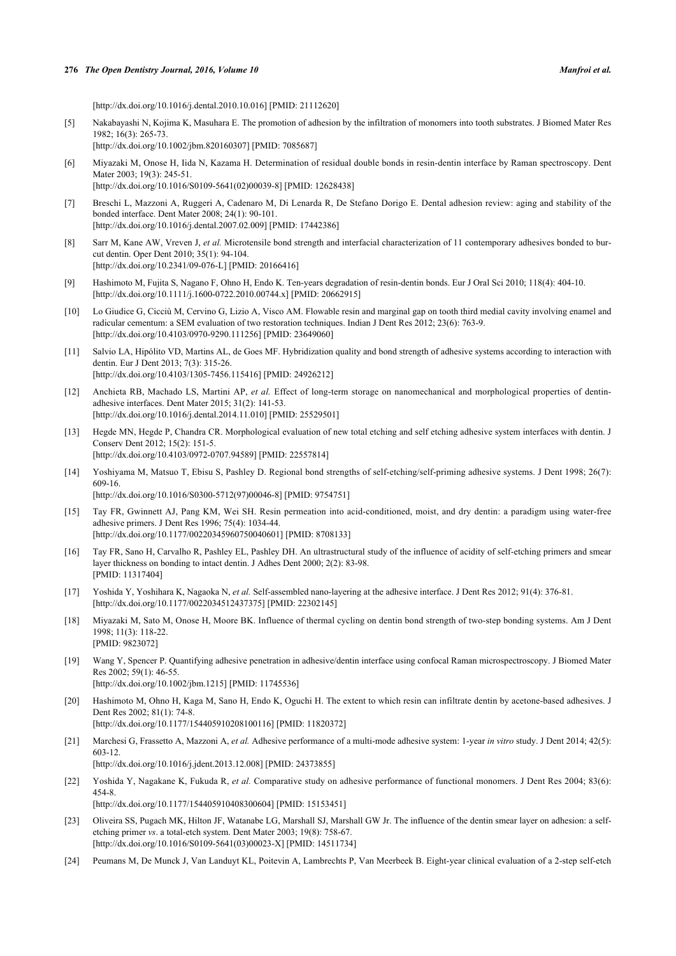[\[http://dx.doi.org/10.1016/j.dental.2010.10.016\]](http://dx.doi.org/10.1016/j.dental.2010.10.016) [PMID: [21112620](http://www.ncbi.nlm.nih.gov/pubmed/21112620)]

- <span id="page-8-0"></span>[5] Nakabayashi N, Kojima K, Masuhara E. The promotion of adhesion by the infiltration of monomers into tooth substrates. J Biomed Mater Res 1982; 16(3): 265-73. [\[http://dx.doi.org/10.1002/jbm.820160307](http://dx.doi.org/10.1002/jbm.820160307)] [PMID: [7085687\]](http://www.ncbi.nlm.nih.gov/pubmed/7085687)
- <span id="page-8-1"></span>[6] Miyazaki M, Onose H, Iida N, Kazama H. Determination of residual double bonds in resin-dentin interface by Raman spectroscopy. Dent Mater 2003; 19(3): 245-51. [\[http://dx.doi.org/10.1016/S0109-5641\(02\)00039-8\]](http://dx.doi.org/10.1016/S0109-5641(02)00039-8) [PMID: [12628438](http://www.ncbi.nlm.nih.gov/pubmed/12628438)]
- <span id="page-8-2"></span>[7] Breschi L, Mazzoni A, Ruggeri A, Cadenaro M, Di Lenarda R, De Stefano Dorigo E. Dental adhesion review: aging and stability of the bonded interface. Dent Mater 2008; 24(1): 90-101. [\[http://dx.doi.org/10.1016/j.dental.2007.02.009\]](http://dx.doi.org/10.1016/j.dental.2007.02.009) [PMID: [17442386](http://www.ncbi.nlm.nih.gov/pubmed/17442386)]
- <span id="page-8-3"></span>[8] Sarr M, Kane AW, Vreven J, et al. Microtensile bond strength and interfacial characterization of 11 contemporary adhesives bonded to burcut dentin. Oper Dent 2010; 35(1): 94-104. [\[http://dx.doi.org/10.2341/09-076-L](http://dx.doi.org/10.2341/09-076-L)] [PMID: [20166416\]](http://www.ncbi.nlm.nih.gov/pubmed/20166416)
- <span id="page-8-4"></span>[9] Hashimoto M, Fujita S, Nagano F, Ohno H, Endo K. Ten-years degradation of resin-dentin bonds. Eur J Oral Sci 2010; 118(4): 404-10. [\[http://dx.doi.org/10.1111/j.1600-0722.2010.00744.x\]](http://dx.doi.org/10.1111/j.1600-0722.2010.00744.x) [PMID: [20662915](http://www.ncbi.nlm.nih.gov/pubmed/20662915)]
- <span id="page-8-5"></span>[10] Lo Giudice G, Cicciù M, Cervino G, Lizio A, Visco AM. Flowable resin and marginal gap on tooth third medial cavity involving enamel and radicular cementum: a SEM evaluation of two restoration techniques. Indian J Dent Res 2012; 23(6): 763-9. [\[http://dx.doi.org/10.4103/0970-9290.111256](http://dx.doi.org/10.4103/0970-9290.111256)] [PMID: [23649060](http://www.ncbi.nlm.nih.gov/pubmed/23649060)]
- <span id="page-8-6"></span>[11] Salvio LA, Hipólito VD, Martins AL, de Goes MF. Hybridization quality and bond strength of adhesive systems according to interaction with dentin. Eur J Dent 2013; 7(3): 315-26. [\[http://dx.doi.org/10.4103/1305-7456.115416](http://dx.doi.org/10.4103/1305-7456.115416)] [PMID: [24926212](http://www.ncbi.nlm.nih.gov/pubmed/24926212)]
- <span id="page-8-7"></span>[12] Anchieta RB, Machado LS, Martini AP, *et al.* Effect of long-term storage on nanomechanical and morphological properties of dentinadhesive interfaces. Dent Mater 2015; 31(2): 141-53. [\[http://dx.doi.org/10.1016/j.dental.2014.11.010\]](http://dx.doi.org/10.1016/j.dental.2014.11.010) [PMID: [25529501](http://www.ncbi.nlm.nih.gov/pubmed/25529501)]
- <span id="page-8-8"></span>[13] Hegde MN, Hegde P, Chandra CR. Morphological evaluation of new total etching and self etching adhesive system interfaces with dentin. J Conserv Dent 2012; 15(2): 151-5. [\[http://dx.doi.org/10.4103/0972-0707.94589](http://dx.doi.org/10.4103/0972-0707.94589)] [PMID: [22557814](http://www.ncbi.nlm.nih.gov/pubmed/22557814)]
- <span id="page-8-9"></span>[14] Yoshiyama M, Matsuo T, Ebisu S, Pashley D. Regional bond strengths of self-etching/self-priming adhesive systems. J Dent 1998; 26(7): 609-16. [\[http://dx.doi.org/10.1016/S0300-5712\(97\)00046-8\]](http://dx.doi.org/10.1016/S0300-5712(97)00046-8) [PMID: [9754751](http://www.ncbi.nlm.nih.gov/pubmed/9754751)]
- <span id="page-8-10"></span>[15] Tay FR, Gwinnett AJ, Pang KM, Wei SH. Resin permeation into acid-conditioned, moist, and dry dentin: a paradigm using water-free adhesive primers. J Dent Res 1996; 75(4): 1034-44. [\[http://dx.doi.org/10.1177/00220345960750040601\]](http://dx.doi.org/10.1177/00220345960750040601) [PMID: [8708133](http://www.ncbi.nlm.nih.gov/pubmed/8708133)]
- <span id="page-8-11"></span>[16] Tay FR, Sano H, Carvalho R, Pashley EL, Pashley DH. An ultrastructural study of the influence of acidity of self-etching primers and smear layer thickness on bonding to intact dentin. J Adhes Dent 2000; 2(2): 83-98. [PMID: [11317404\]](http://www.ncbi.nlm.nih.gov/pubmed/11317404)
- <span id="page-8-12"></span>[17] Yoshida Y, Yoshihara K, Nagaoka N, *et al.* Self-assembled nano-layering at the adhesive interface. J Dent Res 2012; 91(4): 376-81. [\[http://dx.doi.org/10.1177/0022034512437375\]](http://dx.doi.org/10.1177/0022034512437375) [PMID: [22302145](http://www.ncbi.nlm.nih.gov/pubmed/22302145)]
- <span id="page-8-13"></span>[18] Miyazaki M, Sato M, Onose H, Moore BK. Influence of thermal cycling on dentin bond strength of two-step bonding systems. Am J Dent 1998; 11(3): 118-22. [PMID: [9823072\]](http://www.ncbi.nlm.nih.gov/pubmed/9823072)
- <span id="page-8-14"></span>[19] Wang Y, Spencer P. Quantifying adhesive penetration in adhesive/dentin interface using confocal Raman microspectroscopy. J Biomed Mater Res 2002; 59(1): 46-55. [\[http://dx.doi.org/10.1002/jbm.1215](http://dx.doi.org/10.1002/jbm.1215)] [PMID: [11745536\]](http://www.ncbi.nlm.nih.gov/pubmed/11745536)
- <span id="page-8-15"></span>[20] Hashimoto M, Ohno H, Kaga M, Sano H, Endo K, Oguchi H. The extent to which resin can infiltrate dentin by acetone-based adhesives. J Dent Res 2002; 81(1): 74-8. [\[http://dx.doi.org/10.1177/154405910208100116\]](http://dx.doi.org/10.1177/154405910208100116) [PMID: [11820372](http://www.ncbi.nlm.nih.gov/pubmed/11820372)]
- <span id="page-8-16"></span>[21] Marchesi G, Frassetto A, Mazzoni A, *et al.* Adhesive performance of a multi-mode adhesive system: 1-year *in vitro* study. J Dent 2014; 42(5): 603-12. [\[http://dx.doi.org/10.1016/j.jdent.2013.12.008](http://dx.doi.org/10.1016/j.jdent.2013.12.008)] [PMID: [24373855\]](http://www.ncbi.nlm.nih.gov/pubmed/24373855)
- <span id="page-8-17"></span>[22] Yoshida Y, Nagakane K, Fukuda R, *et al.* Comparative study on adhesive performance of functional monomers. J Dent Res 2004; 83(6): 454-8. [\[http://dx.doi.org/10.1177/154405910408300604\]](http://dx.doi.org/10.1177/154405910408300604) [PMID: [15153451](http://www.ncbi.nlm.nih.gov/pubmed/15153451)]
- <span id="page-8-18"></span>[23] Oliveira SS, Pugach MK, Hilton JF, Watanabe LG, Marshall SJ, Marshall GW Jr. The influence of the dentin smear layer on adhesion: a selfetching primer *vs*. a total-etch system. Dent Mater 2003; 19(8): 758-67. [\[http://dx.doi.org/10.1016/S0109-5641\(03\)00023-X\]](http://dx.doi.org/10.1016/S0109-5641(03)00023-X) [PMID: [14511734](http://www.ncbi.nlm.nih.gov/pubmed/14511734)]
- <span id="page-8-19"></span>[24] Peumans M, De Munck J, Van Landuyt KL, Poitevin A, Lambrechts P, Van Meerbeek B. Eight-year clinical evaluation of a 2-step self-etch